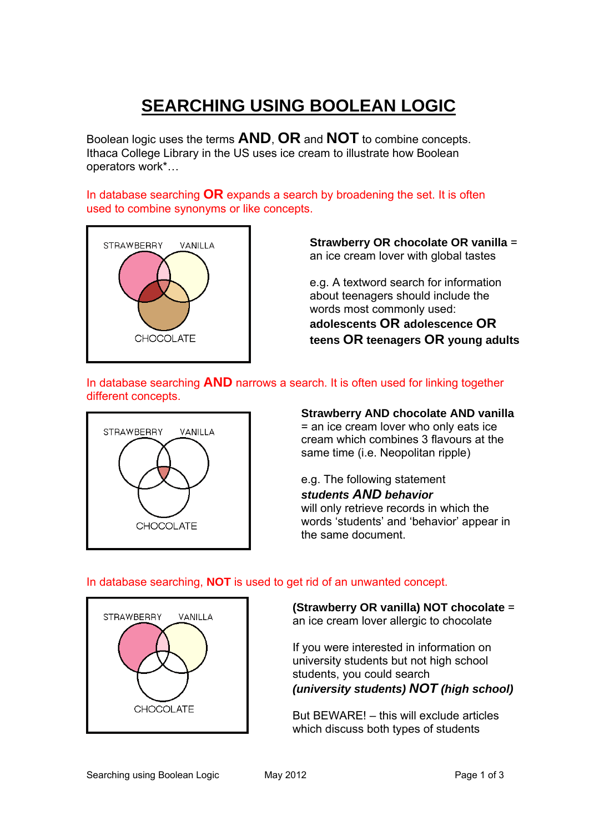## **SEARCHING USING BOOLEAN LOGIC**

Boolean logic uses the terms **AND**, **OR** and **NOT** to combine concepts. Ithaca College Library in the US uses ice cream to illustrate how Boolean operators work\*…

In database searching **OR** expands a search by broadening the set. It is often used to combine synonyms or like concepts.



**Strawberry OR chocolate OR vanilla** = an ice cream lover with global tastes

e.g. A textword search for information about teenagers should include the words most commonly used: **adolescents OR adolescence OR teens OR teenagers OR young adults**

In database searching **AND** narrows a search. It is often used for linking together different concepts.



**Strawberry AND chocolate AND vanilla** = an ice cream lover who only eats ice cream which combines 3 flavours at the

## same time (i.e. Neopolitan ripple) e.g. The following statement

*students AND behavior*

will only retrieve records in which the words 'students' and 'behavior' appear in the same document.



## In database searching, **NOT** is used to get rid of an unwanted concept.

**(Strawberry OR vanilla) NOT chocolate** = an ice cream lover allergic to chocolate

If you were interested in information on university students but not high school students, you could search *(university students) NOT (high school)* 

But BEWARE! – this will exclude articles which discuss both types of students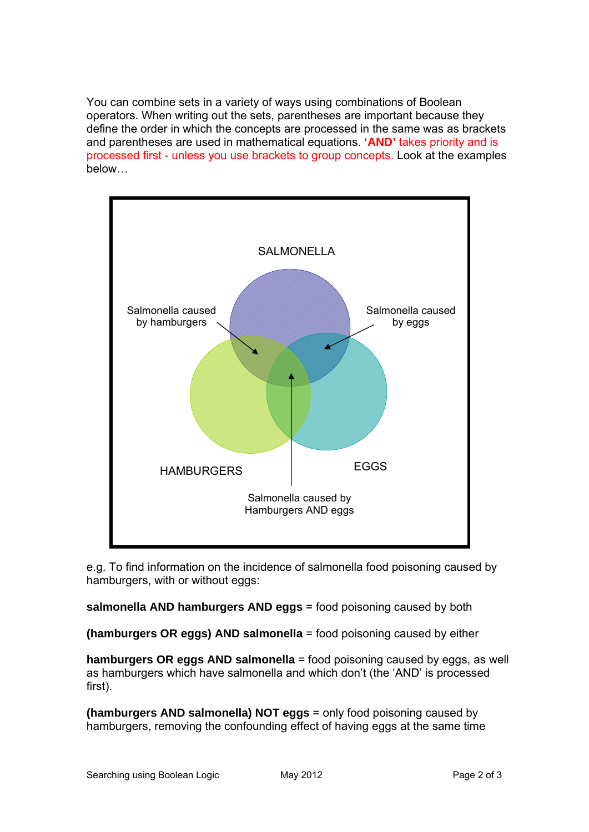You can combine sets in a variety of ways using combinations of Boolean operators. When writing out the sets, parentheses are important because they define the order in which the concepts are processed in the same was as brackets and parentheses are used in mathematical equations. **'AND'** takes priority and is processed first - unless you use brackets to group concepts. Look at the examples below…



e.g. To find information on the incidence of salmonella food poisoning caused by hamburgers, with or without eggs:

**salmonella AND hamburgers AND eggs** = food poisoning caused by both

**(hamburgers OR eggs) AND salmonella** = food poisoning caused by either

**hamburgers OR eggs AND salmonella** = food poisoning caused by eggs, as well as hamburgers which have salmonella and which don't (the 'AND' is processed first).

**(hamburgers AND salmonella) NOT eggs** = only food poisoning caused by hamburgers, removing the confounding effect of having eggs at the same time